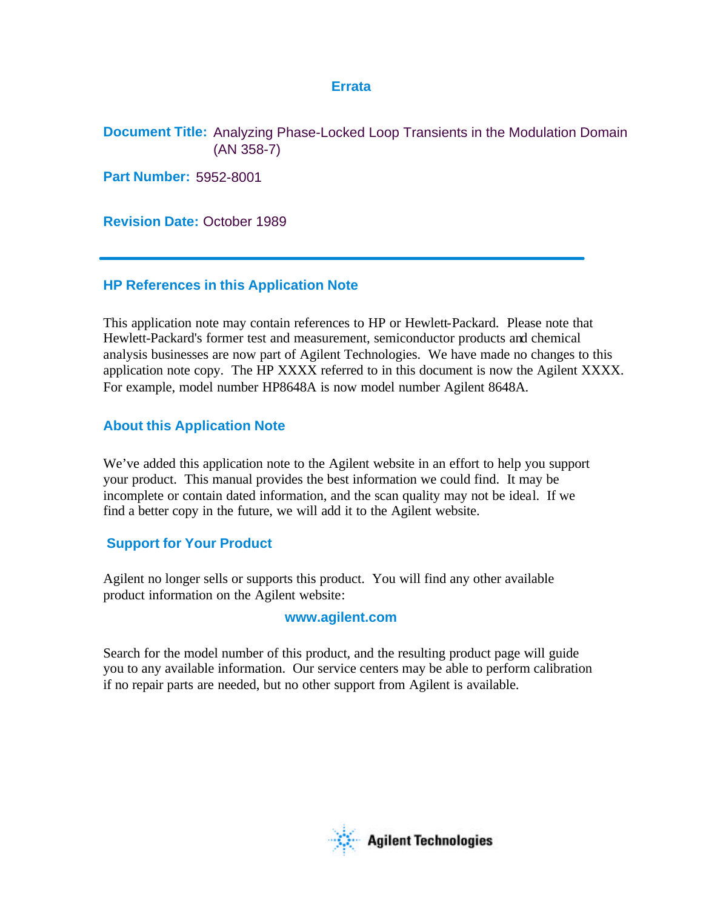#### **Errata**

**Document Title:** Analyzing Phase-Locked Loop Transients in the Modulation Domain (AN 358-7)

**Part Number:** 5952-8001

**Revision Date:** October 1989

### **HP References in this Application Note**

This application note may contain references to HP or Hewlett-Packard. Please note that Hewlett-Packard's former test and measurement, semiconductor products and chemical analysis businesses are now part of Agilent Technologies. We have made no changes to this application note copy. The HP XXXX referred to in this document is now the Agilent XXXX. For example, model number HP8648A is now model number Agilent 8648A.

### **About this Application Note**

We've added this application note to the Agilent website in an effort to help you support your product. This manual provides the best information we could find. It may be incomplete or contain dated information, and the scan quality may not be ideal. If we find a better copy in the future, we will add it to the Agilent website.

### **Support for Your Product**

Agilent no longer sells or supports this product. You will find any other available product information on the Agilent website:

#### **www.agilent.com**

Search for the model number of this product, and the resulting product page will guide you to any available information. Our service centers may be able to perform calibration if no repair parts are needed, but no other support from Agilent is available.

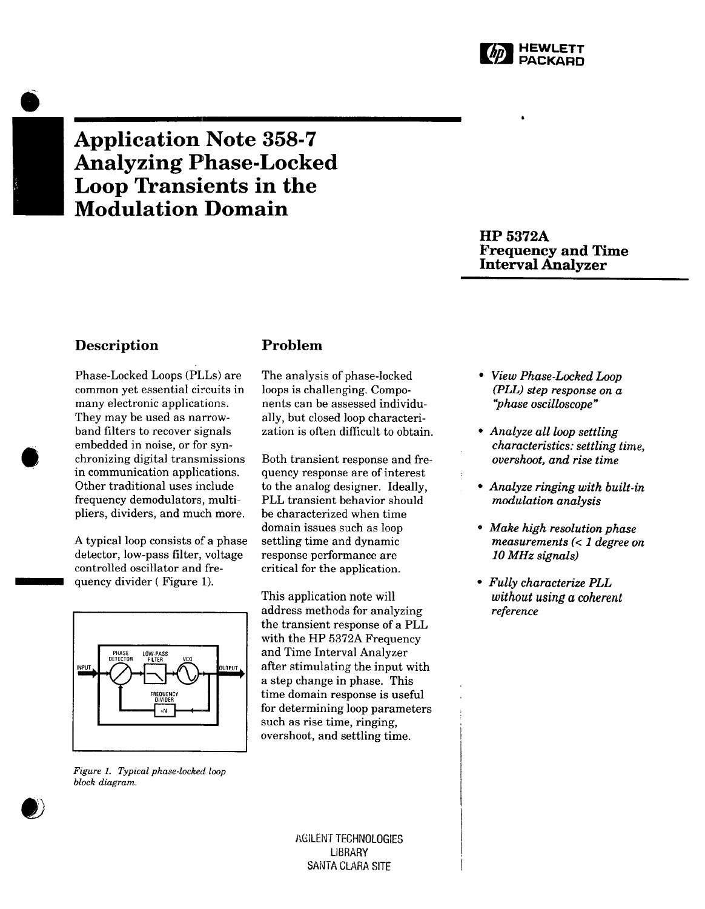

# **Application Note 358-7 Analyzing Phase-Locked Loop Transients in the Modulation Domain**

**HP 5372A Frequency and Time Interval Analyzer** 

### **Description**

Phase-Locked Loops (PLLs) are common yet essential circuits in many electronic applications. They may be used as narrowband filters to recover signals embedded in noise, or for synchronizing digital transmissions in communication applications. Other traditional uses include frequency demodulators, multipliers, dividers, and much more.

A typical loop consists of a phase detector, low-pass filter, voltage controlled oscillator and frequency divider (Figure 1).



Figure 1. Typical phase-locked loop block diagram.

### Problem

The analysis of phase-locked loops is challenging. Components can be assessed individually, but closed loop characterization is often difficult to obtain.

Both transient response and frequency response are of interest to the analog designer. Ideally, PLL transient behavior should be characterized when time domain issues such as loop settling time and dynamic response performance are critical for the application.

This application note will address methods for analyzing the transient response of a PLL with the HP 5372A Frequency and Time Interval Analyzer after stimulating the input with a step change in phase. This time domain response is useful for determining loop parameters such as rise time, ringing, overshoot, and settling time.

#### AGILENT TECHNOLOGIES **LIBRARY** SANTA CLARA SITE

- View Phase-Locked Loop  $(PLL)$  step response on a "phase oscilloscope"
- Analyze all loop settling *characteristics: settling time.* overshoot, and rise time
- Analyze ringing with built-in modulation analysis
- Make high resolution phase measurements  $(< 1$  degree on 10 MHz signals)
- Fully characterize PLL without using a coherent reference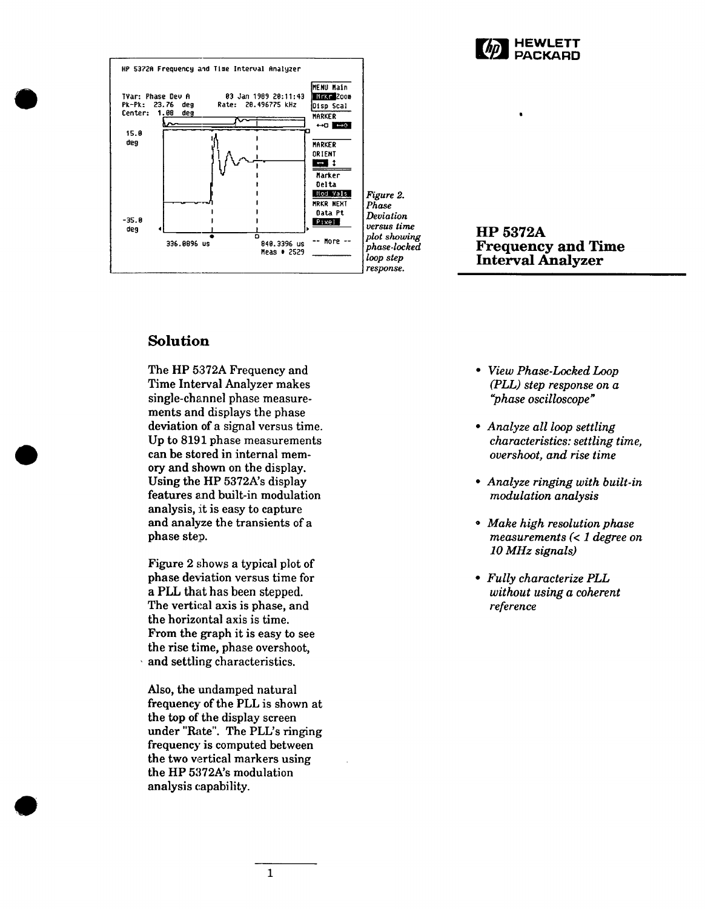



Deviation versus time plot showing phase-locked loop step response.

**HP 5372A Frequency and Time Interval Analyzer** 

## **Solution**

The HP 5372A Frequency and Time Interval Analyzer makes single-channel phase measurements and displays the phase deviation of a signal versus time. Up to 8191 phase measurements can be stored in internal memory and shown on the display. Using the HP 5372A's display features and built-in modulation analysis, it is easy to capture and analyze the transients of a phase step.

Figure 2 shows a typical plot of phase deviation versus time for a PLL that has been stepped. The vertical axis is phase, and the horizontal axis is time. From the graph it is easy to see the rise time, phase overshoot. and settling characteristics.

Also, the undamped natural frequency of the PLL is shown at the top of the display screen under "Rate". The PLL's ringing frequency is computed between the two vertical markers using the HP 5372A's modulation analysis capability.

- View Phase-Locked Loop  $\bullet$  $(PLL)$  step response on  $a$ "phase oscilloscope"
- Analyze all loop settling characteristics: settling time, overshoot, and rise time
- Analyze ringing with built-in modulation analysis
- Make high resolution phase measurements  $(< 1$  degree on 10 MHz signals)
- Fully characterize PLL without using a coherent reference

 $\mathbf{1}$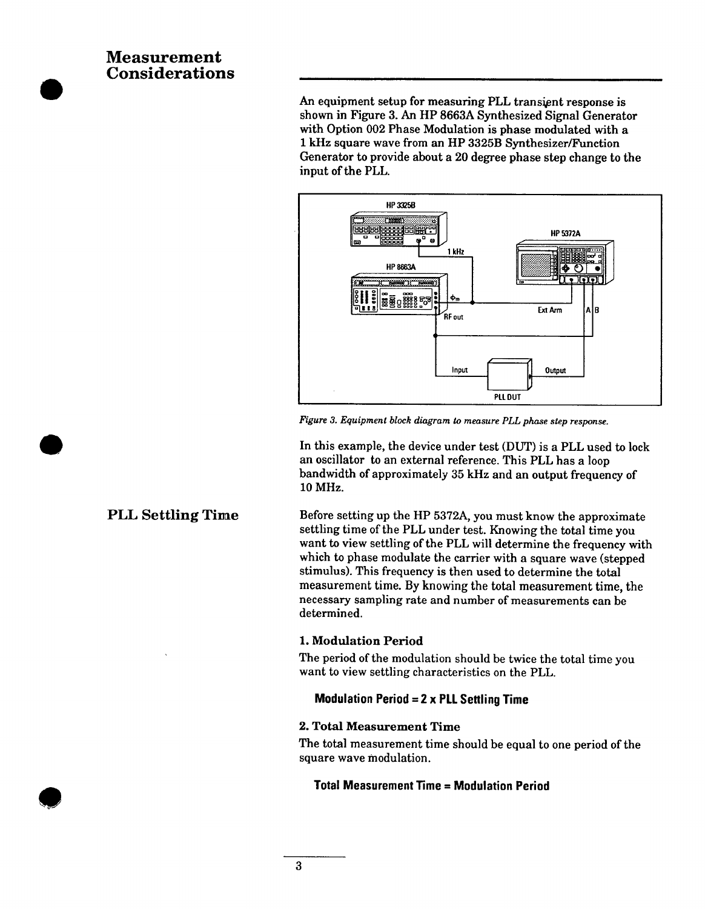# **Measurement Considerations**

An equipment setup for measuring PLL transient response is shown in Figure 3. An HP 8663A Synthesized Signal Generator with Option 002 Phase Modulation is phase modulated with a 1 kHz square wave from an HP 3325B Synthesizer/Function Generator to provide about a 20 degree phase step change to the input of the PLL.



Figure 3. Equipment block diagram to measure PLL phase step response.

In this example, the device under test (DUT) is a PLL used to lock an oscillator to an external reference. This PLL has a loop bandwidth of approximately 35 kHz and an output frequency of 10 MHz.

Before setting up the HP 5372A, you must know the approximate settling time of the PLL under test. Knowing the total time you want to view settling of the PLL will determine the frequency with which to phase modulate the carrier with a square wave (stepped stimulus). This frequency is then used to determine the total measurement time. By knowing the total measurement time, the necessary sampling rate and number of measurements can be determined.

#### 1. Modulation Period

The period of the modulation should be twice the total time you want to view settling characteristics on the PLL.

#### **Modulation Period =**  $2 \times$  **PLL Settling Time**

#### 2. Total Measurement Time

The total measurement time should be equal to one period of the square wave modulation.

#### **Total Measurement Time = Modulation Period**

# **PLL Settling Time**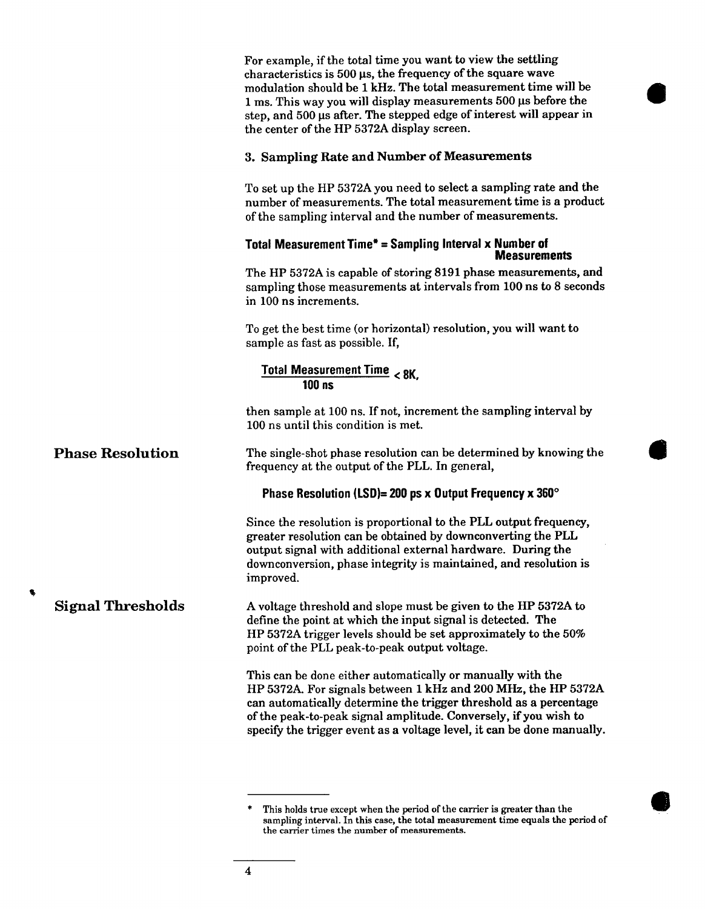|                          | For example, if the total time you want to view the settling<br>characteristics is $500 \,\mu s$ , the frequency of the square wave<br>modulation should be 1 kHz. The total measurement time will be<br>1 ms. This way you will display measurements 500 us before the<br>step, and 500 µs after. The stepped edge of interest will appear in<br>the center of the HP 5372A display screen. |
|--------------------------|----------------------------------------------------------------------------------------------------------------------------------------------------------------------------------------------------------------------------------------------------------------------------------------------------------------------------------------------------------------------------------------------|
|                          | 3. Sampling Rate and Number of Measurements                                                                                                                                                                                                                                                                                                                                                  |
|                          | To set up the HP 5372A you need to select a sampling rate and the<br>number of measurements. The total measurement time is a product<br>of the sampling interval and the number of measurements.                                                                                                                                                                                             |
|                          | Total Measurement Time* = Sampling Interval x Number of<br><b>Measurements</b>                                                                                                                                                                                                                                                                                                               |
|                          | The HP 5372A is capable of storing 8191 phase measurements, and<br>sampling those measurements at intervals from 100 ns to 8 seconds<br>in 100 ns increments.                                                                                                                                                                                                                                |
|                          | To get the best time (or horizontal) resolution, you will want to<br>sample as fast as possible. If,                                                                                                                                                                                                                                                                                         |
|                          | Total Measurement Time < 8K,<br>$100$ ns                                                                                                                                                                                                                                                                                                                                                     |
|                          | then sample at 100 ns. If not, increment the sampling interval by<br>100 ns until this condition is met.                                                                                                                                                                                                                                                                                     |
| <b>Phase Resolution</b>  | The single-shot phase resolution can be determined by knowing the<br>frequency at the output of the PLL. In general,                                                                                                                                                                                                                                                                         |
|                          | Phase Resolution (LSD)= 200 ps x Output Frequency x 360 $^{\circ}$                                                                                                                                                                                                                                                                                                                           |
|                          | Since the resolution is proportional to the PLL output frequency,<br>greater resolution can be obtained by downconverting the PLL<br>output signal with additional external hardware. During the<br>downconversion, phase integrity is maintained, and resolution is<br>improved.                                                                                                            |
| <b>Signal Thresholds</b> | A voltage threshold and slope must be given to the HP 5372A to<br>define the point at which the input signal is detected. The<br>HP 5372A trigger levels should be set approximately to the 50%<br>point of the PLL peak-to-peak output voltage.                                                                                                                                             |
|                          | This can be done either automatically or manually with the<br>HP 5372A. For signals between 1 kHz and 200 MHz, the HP 5372A<br>can automatically determine the trigger threshold as a percentage<br>of the peak-to-peak signal amplitude. Conversely, if you wish to<br>specify the trigger event as a voltage level, it can be done manually.                                               |
|                          |                                                                                                                                                                                                                                                                                                                                                                                              |

۹

This holds true except when the period of the carrier is greater than the sampling interval. In this case, the total measurement time equals the period of the carrier times the number of measurements.  $\ddot{}$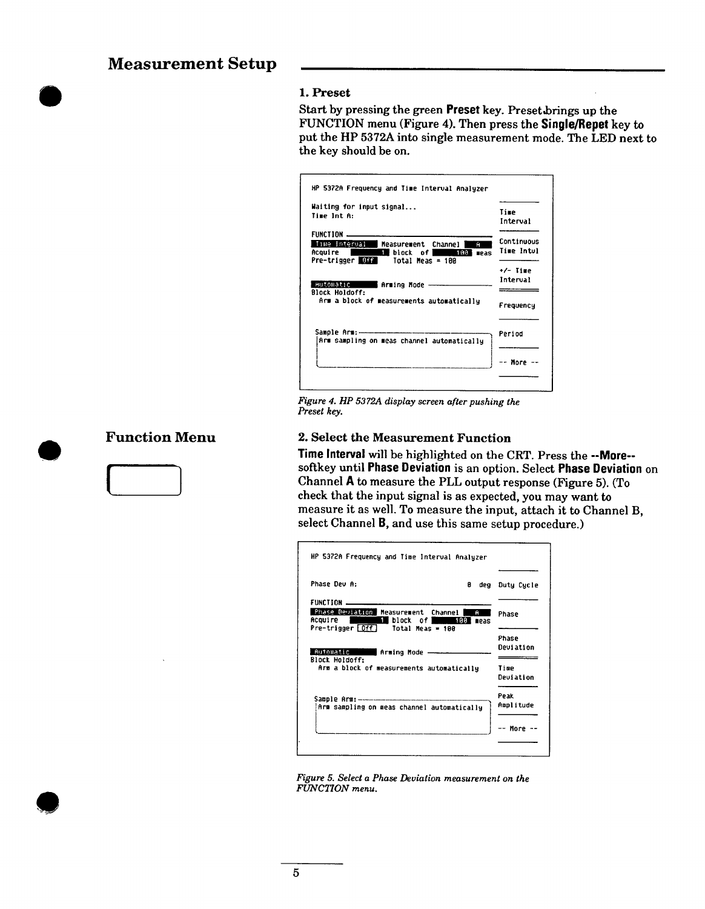# **Measurement Setup**

#### 1. Preset

Start by pressing the green Preset key. Preset brings up the FUNCTION menu (Figure 4). Then press the Single/Repet key to put the HP 5372A into single measurement mode. The LED next to the key should be on.

| Waiting for input signal<br>Time Int A:                                               | Time<br>Interval                             |
|---------------------------------------------------------------------------------------|----------------------------------------------|
| FUNCTION .<br>Time Interval<br>Measurement Channel<br>Acquire l<br>l∎block of∣<br>188 | Continuous<br>Ĥ<br>Time Intul<br><b>MPAS</b> |
| Pre-trigger Off<br>Total Meas = 100                                                   | $+/-$ Time                                   |
| <b>Butomatic</b><br>Arming Mode<br><b>Block Holdoff:</b>                              | Interval                                     |
| Arm a block of measurements automatically                                             | Frequency                                    |
| Arm sampling on meas channel automatically                                            | Period                                       |
|                                                                                       |                                              |

Figure 4. HP 5372A display screen after pushing the Preset key.

### 2. Select the Measurement Function

Time Interval will be highlighted on the CRT. Press the --More-softkey until Phase Deviation is an option. Select Phase Deviation on Channel A to measure the PLL output response (Figure 5). (To check that the input signal is as expected, you may want to measure it as well. To measure the input, attach it to Channel B, select Channel B, and use this same setup procedure.)

| HP 5372A Frequency and Time Interval Analyzer                                                                                  |               |     |                   |
|--------------------------------------------------------------------------------------------------------------------------------|---------------|-----|-------------------|
| Phase Deu A:                                                                                                                   | ø             | deg | Duty Cycle        |
| <b>FUNCTION</b>                                                                                                                |               |     |                   |
| Phase Deviation Measurement Channel<br>Acquire <b>Contract Contract Contract Contract</b><br>i block of I<br>Pre-trigger [Off] | A<br>100 meas |     | Phase             |
| Total Meas = 100                                                                                                               |               |     | Phase             |
| Automatic<br>Arming Mode -<br><b>Block Holdoff:</b>                                                                            |               |     | <b>Beviation</b>  |
| Arm a block of measurements automatically                                                                                      |               |     | Time<br>Deviation |
|                                                                                                                                |               |     | Peak              |
| Arm sampling on meas channel automatically                                                                                     |               |     | Amplitude         |
|                                                                                                                                |               |     | More              |
|                                                                                                                                |               |     |                   |

# **Function Menu**



Figure 5. Select a Phase Deviation measurement on the FUNCTION menu.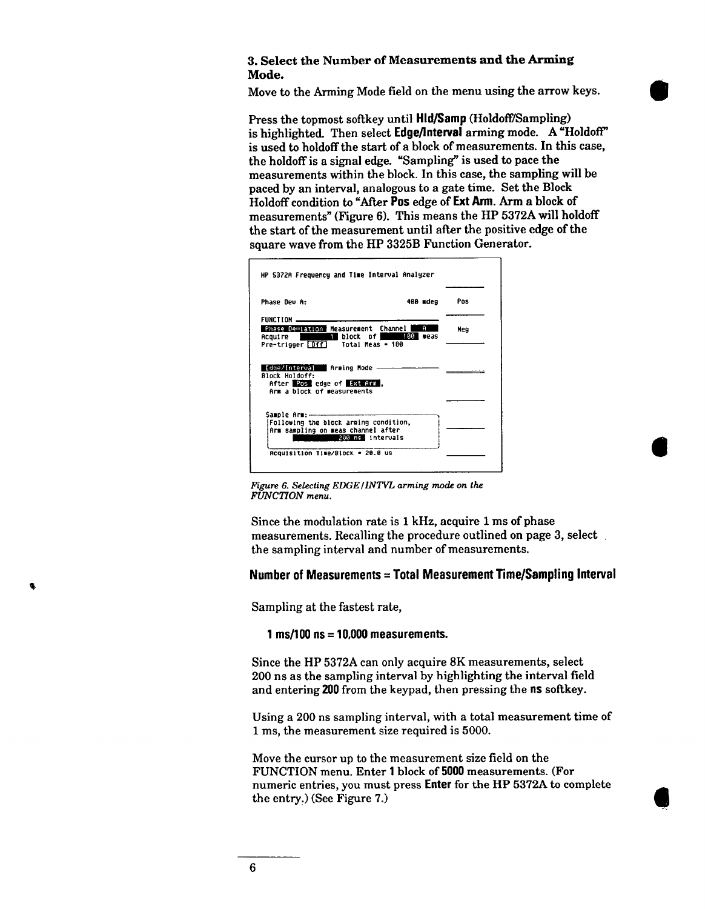#### 3. Select the Number of Measurements and the Arming Mode.

Move to the Arming Mode field on the menu using the arrow keys.

Press the topmost softkey until Hld/Samp (Holdoff/Sampling) is highlighted. Then select Edge/Interval arming mode. A "Holdoff" is used to holdoff the start of a block of measurements. In this case, the holdoff is a signal edge. "Sampling" is used to pace the measurements within the block. In this case, the sampling will be paced by an interval, analogous to a gate time. Set the Block Holdoff condition to "After Pos edge of Ext Arm. Arm a block of measurements" (Figure 6). This means the HP 5372A will holdoff the start of the measurement until after the positive edge of the square wave from the HP 3325B Function Generator.

| <b>Phase Dev A:</b>                                                                | Pos<br>400 mdeg                           |
|------------------------------------------------------------------------------------|-------------------------------------------|
| FUNCTION<br>Phase Deviation Measurement Channel                                    | A                                         |
| <b>Example 1</b> block<br>Acquire I<br>Pre-trigger [Off]                           | Neg<br>of 180<br>meas<br>Total Meas = 100 |
| Edge/Interval Rrming Mode -                                                        |                                           |
| <b>Block Holdoff:</b><br>After Postedge of Ext Arm,<br>Arm a block of measurements |                                           |
|                                                                                    |                                           |
| Sample Arm:--<br>Following the block arming condition,                             |                                           |
| Arm sampling on meas channel after                                                 | 200 ns intervals                          |

Figure 6. Selecting EDGE/INTVL arming mode on the FUNCTION menu.

Since the modulation rate is 1 kHz, acquire 1 ms of phase measurements. Recalling the procedure outlined on page 3, select the sampling interval and number of measurements.

#### Number of Measurements = Total Measurement Time/Sampling Interval

Sampling at the fastest rate,

#### 1 ms/100  $ns = 10.000$  measurements.

Since the HP 5372A can only acquire 8K measurements, select 200 ns as the sampling interval by highlighting the interval field and entering 200 from the keypad, then pressing the ns softkey.

Using a 200 ns sampling interval, with a total measurement time of 1 ms, the measurement size required is 5000.

Move the cursor up to the measurement size field on the FUNCTION menu. Enter 1 block of 5000 measurements. (For numeric entries, you must press Enter for the HP 5372A to complete the entry.) (See Figure 7.)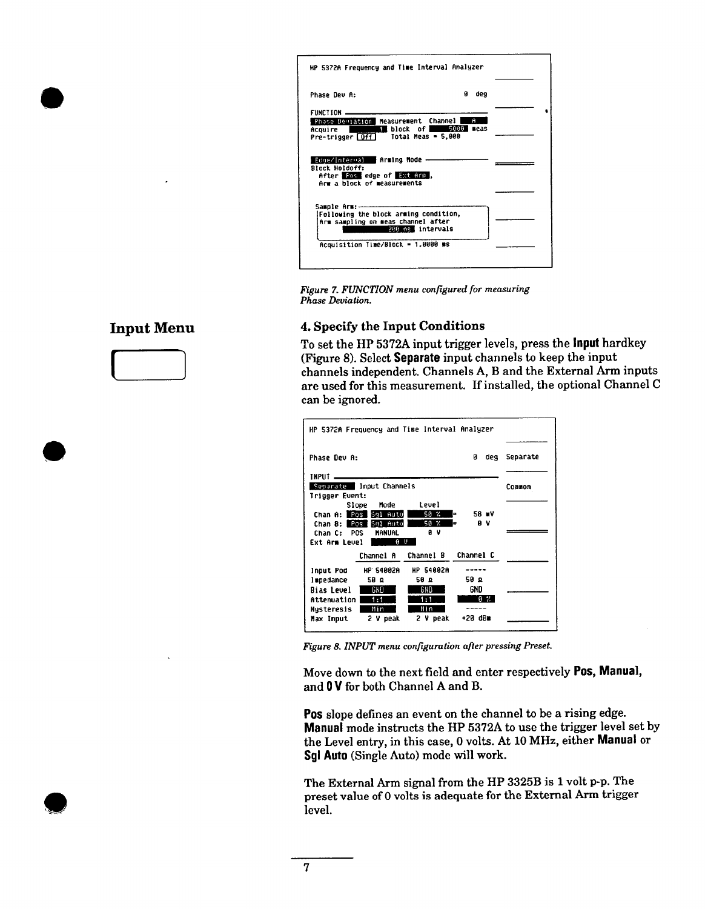|                                                                                                                     | HP 5372A Frequency and Time Interval Analyzer |           |  |
|---------------------------------------------------------------------------------------------------------------------|-----------------------------------------------|-----------|--|
| <b>Phase Dev A:</b>                                                                                                 | 8                                             | deg       |  |
| FUNCTION                                                                                                            |                                               |           |  |
| Phase Deviation Measurement Channel<br>Acquire –<br>Pre−trigger <del>[Off]</del>                                    | block of 5000<br>Total Meas - 5,000           | A<br>neas |  |
| Edde/Internal Arming Hode -<br>Block Holdoff:<br>After <b>1008</b> edge of Ext Arm ,<br>Arm a block of measurements |                                               |           |  |
|                                                                                                                     |                                               |           |  |
| Following the block arming condition,<br>Arm sampling on meas channel after                                         | 200 ns intervals                              |           |  |
|                                                                                                                     | Acquisition Time/Block = 1.8000 ms            |           |  |

Figure 7. FUNCTION menu configured for measuring Phase Deviation.

### 4. Specify the Input Conditions

To set the HP 5372A input trigger levels, press the **input** hardkey (Figure 8). Select Separate input channels to keep the input channels independent. Channels A, B and the External Arm inputs are used for this measurement. If installed, the optional Channel C can be ignored.

| HP 5372A Frequency and Time Interval Analyzer                                                                                             |                           |          |
|-------------------------------------------------------------------------------------------------------------------------------------------|---------------------------|----------|
| Phase Dev A:                                                                                                                              | n<br>deg                  | Separate |
| INPUT<br>Separate Input Channels<br>Trigger Event:                                                                                        |                           | Common   |
| Level<br>Mode<br>Slope<br>$50 \, %$<br>Chan A: Pos Bol Auto<br>ь                                                                          | 58 WV                     |          |
| 50 %<br>Chan B: Pos Bql Auto<br>ıз<br>вv<br>Chan C: POS<br><b>HANUAL</b><br><b>Fxt Arm Leupl</b><br>ΘV                                    | АV                        |          |
| Channel A<br>Channel B                                                                                                                    | Channel C                 |          |
| <b>HP 54002A</b><br>HP 54002A<br>Input Pod<br>58 Q<br>58 Q<br>Ispedance<br>GND<br><b>Bias Level</b><br>GND<br>1:1<br>Attenuation  <br>1:1 | ء 50<br>gnd<br>$9 \times$ |          |
| Min<br>Nin<br><b>Husteresis</b><br>2 V peak<br>Max Input<br>2 V peak                                                                      | $+20$ dBm                 |          |

Figure 8. INPUT menu configuration after pressing Preset.

Move down to the next field and enter respectively Pos, Manual, and 0 V for both Channel A and B.

Pos slope defines an event on the channel to be a rising edge. Manual mode instructs the HP 5372A to use the trigger level set by the Level entry, in this case, 0 volts. At 10 MHz, either Manual or Sgl Auto (Single Auto) mode will work.

The External Arm signal from the HP 3325B is 1 volt p-p. The preset value of 0 volts is adequate for the External Arm trigger level.

# **Input Menu**

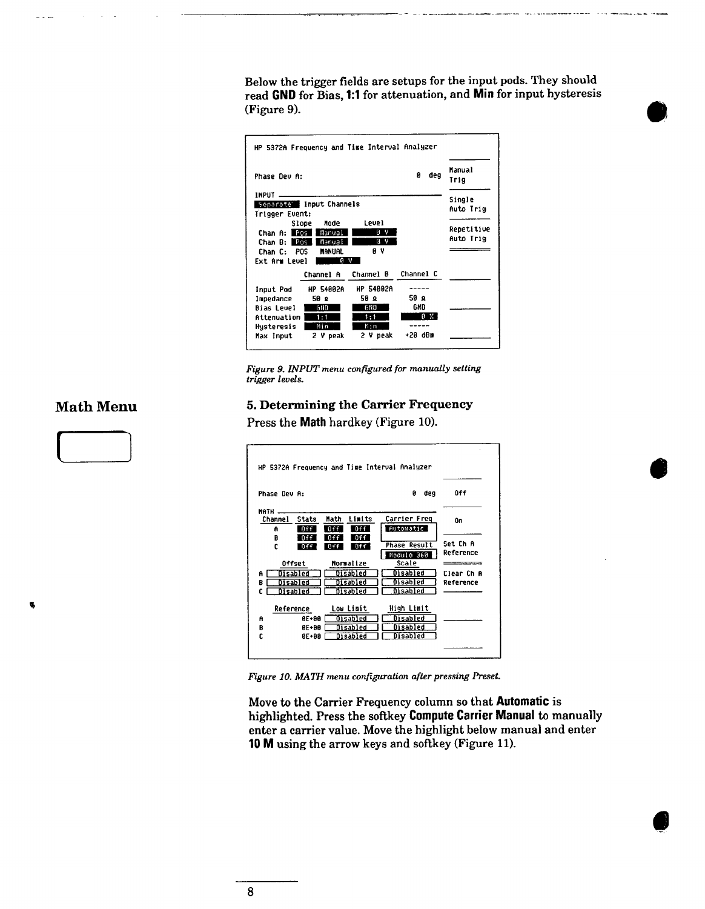Below the trigger fields are setups for the input pods. They should read GND for Bias, 1:1 for attenuation, and Min for input hysteresis (Figure 9).

|                |                                  | HP 5372A Frequency and Time Interval Analyzer |            |                |
|----------------|----------------------------------|-----------------------------------------------|------------|----------------|
| Phase Dev A:   |                                  |                                               | n<br>deg   | Manual<br>Trig |
| <b>INPUT</b>   |                                  |                                               |            | Single         |
| Trigger Event: | Separate Input Channels          |                                               |            | Auto Trig      |
|                | Mode<br>Slope                    | <b>Level</b>                                  |            | Repetitive     |
| Chan A: Pas I  | Manual<br>Chan B:   Pos   Manual | υV<br><b>BV</b>                               |            | Auto Trig      |
| Chan C: POS    | MANUAL                           | ΘV                                            |            |                |
| Ext Arm Level  |                                  | яv                                            |            |                |
|                | Channel A                        | Channel B Channel C                           |            |                |
| Input Pod      | <b>HP 54002A</b>                 | <b>HP 54882A</b>                              |            |                |
| Impedance      | 50 Q                             | 58 Q                                          | 59 Q       |                |
| Bias Level     | GND                              | <b>GND</b>                                    | 6ND        |                |
| Attenuation    | 1:1                              | 1:1                                           | $8 \times$ |                |
| Hysteresis     | Min                              | Min                                           | $+20$ dBm  |                |
| Max Input      | 2 V peak                         | 2 V peak                                      |            |                |

Figure 9. INPUT menu configured for manually setting trigger levels.

# **Math Menu**



5. Determining the Carrier Frequency

Press the Math hardkey (Figure 10).



Figure 10. MATH menu configuration after pressing Preset.

Move to the Carrier Frequency column so that Automatic is highlighted. Press the softkey Compute Carrier Manual to manually enter a carrier value. Move the highlight below manual and enter 10 M using the arrow keys and softkey (Figure 11).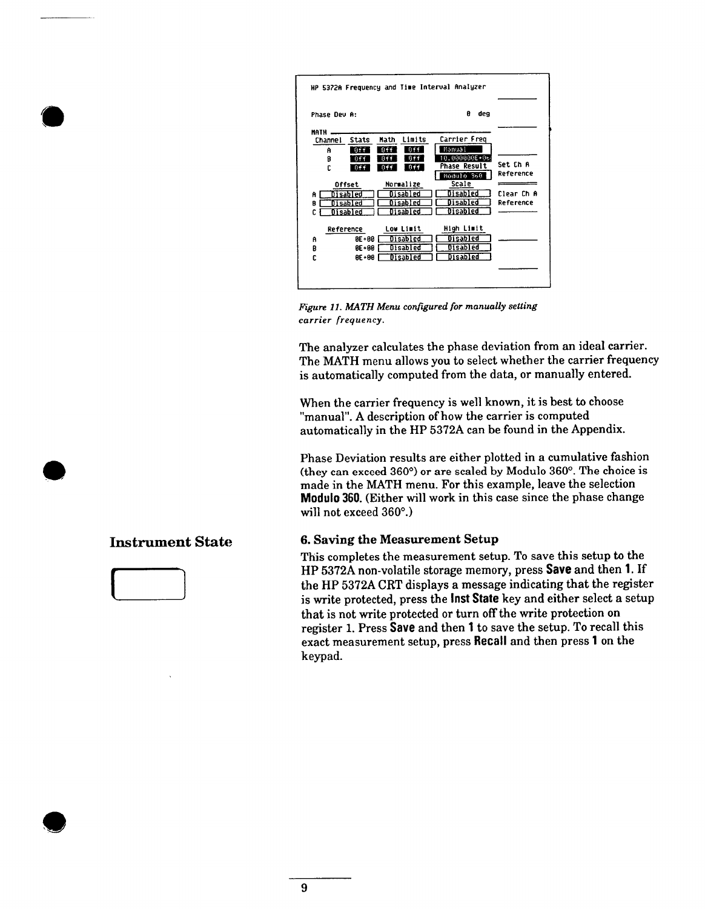

Figure 11. MATH Menu configured for manually setting carrier frequency.

The analyzer calculates the phase deviation from an ideal carrier. The MATH menu allows you to select whether the carrier frequency is automatically computed from the data, or manually entered.

When the carrier frequency is well known, it is best to choose "manual". A description of how the carrier is computed automatically in the HP 5372A can be found in the Appendix.

Phase Deviation results are either plotted in a cumulative fashion (they can exceed 360°) or are scaled by Modulo 360°. The choice is made in the MATH menu. For this example, leave the selection Modulo 360. (Either will work in this case since the phase change will not exceed 360°.)

#### **6. Saving the Measurement Setup**

This completes the measurement setup. To save this setup to the HP 5372A non-volatile storage memory, press Save and then 1. If the HP 5372A CRT displays a message indicating that the register is write protected, press the **Inst State** key and either select a setup that is not write protected or turn off the write protection on register 1. Press Save and then 1 to save the setup. To recall this exact measurement setup, press Recall and then press 1 on the keypad.

### **Instrument State**

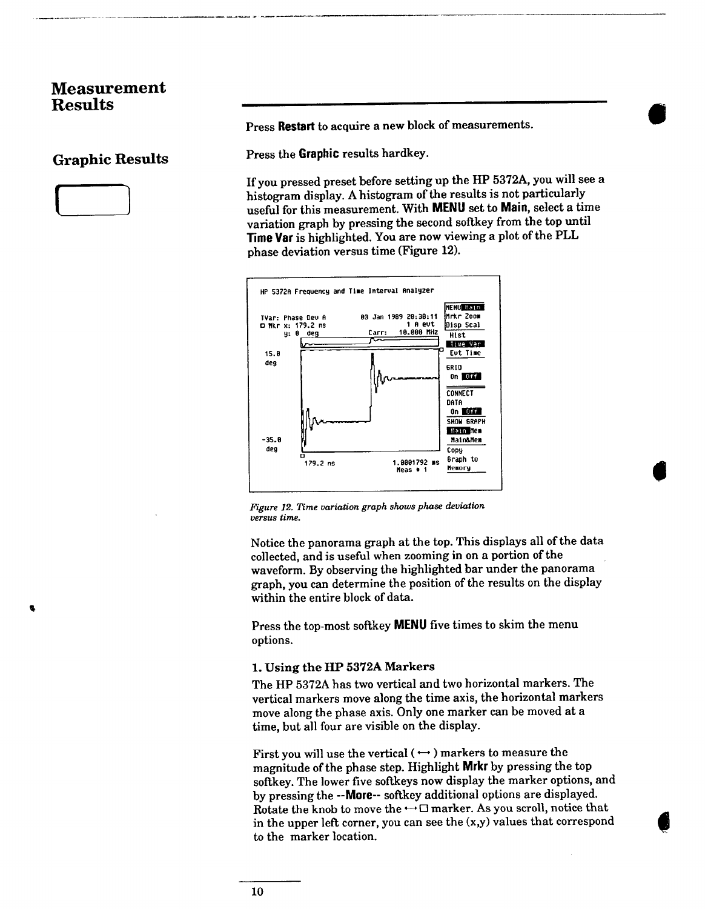# **Measurement Results**

### **Graphic Results**



Press Restart to acquire a new block of measurements.

Press the Graphic results hardkey.

If you pressed preset before setting up the HP 5372A, you will see a histogram display. A histogram of the results is not particularly useful for this measurement. With MENU set to Main, select a time variation graph by pressing the second softkey from the top until Time Var is highlighted. You are now viewing a plot of the PLL phase deviation versus time (Figure 12).



Figure 12. Time variation graph shows phase deviation versus time.

Notice the panorama graph at the top. This displays all of the data collected, and is useful when zooming in on a portion of the waveform. By observing the highlighted bar under the panorama graph, you can determine the position of the results on the display within the entire block of data.

Press the top-most softkey MENU five times to skim the menu options.

#### 1. Using the HP 5372A Markers

The HP 5372A has two vertical and two horizontal markers. The vertical markers move along the time axis, the horizontal markers move along the phase axis. Only one marker can be moved at a time, but all four are visible on the display.

First you will use the vertical ( $\leftrightarrow$ ) markers to measure the magnitude of the phase step. Highlight Mrkr by pressing the top softkey. The lower five softkeys now display the marker options, and by pressing the --More-- softkey additional options are displayed. Rotate the knob to move the  $\leftrightarrow \Box$  marker. As you scroll, notice that in the upper left corner, you can see the  $(x, y)$  values that correspond to the marker location.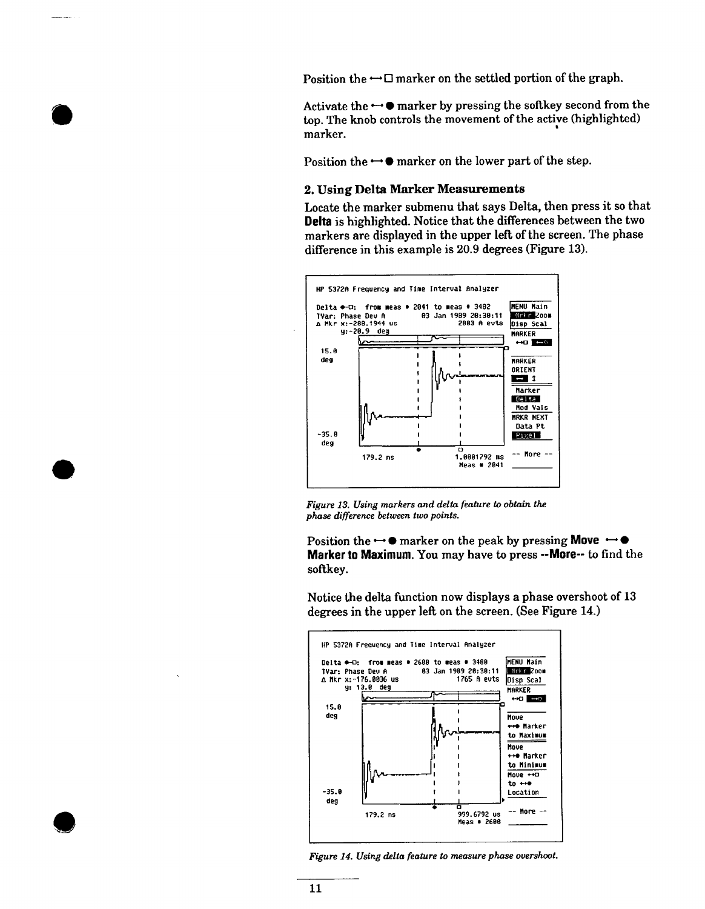Position the  $\rightarrow \square$  marker on the settled portion of the graph.

Activate the  $\rightarrow \bullet$  marker by pressing the softkey second from the top. The knob controls the movement of the active (highlighted) marker.

Position the  $\rightarrow \bullet$  marker on the lower part of the step.

#### 2. Using Delta Marker Measurements

Locate the marker submenu that says Delta, then press it so that Delta is highlighted. Notice that the differences between the two markers are displayed in the upper left of the screen. The phase difference in this example is 20.9 degrees (Figure 13).



Figure 13. Using markers and delta feature to obtain the phase difference between two points.

Position the  $\rightarrow \bullet$  marker on the peak by pressing Move  $\rightarrow \bullet$ Marker to Maximum. You may have to press -- More-- to find the softkey.

Notice the delta function now displays a phase overshoot of 13 degrees in the upper left on the screen. (See Figure 14.)



Figure 14. Using delta feature to measure phase overshoot.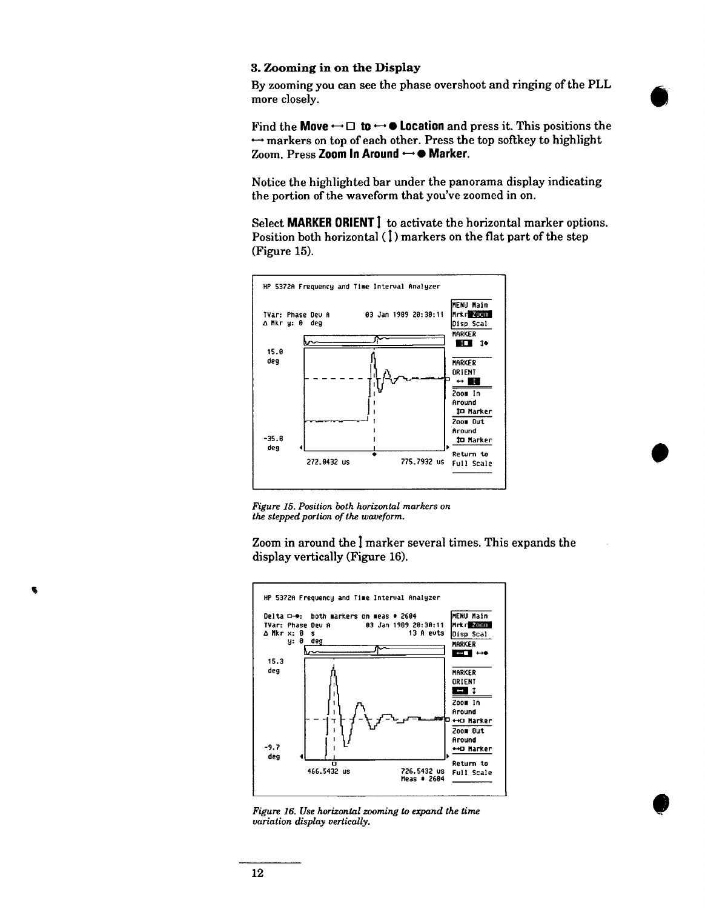#### 3. Zooming in on the Display

By zooming you can see the phase overshoot and ringing of the PLL more closely.

Find the Move  $\leftrightarrow \Box$  to  $\leftrightarrow \bullet$  Location and press it. This positions the  $\rightarrow$  markers on top of each other. Press the top softkey to highlight Zoom. Press Zoom In Around  $\leftrightarrow$  • Marker.

Notice the highlighted bar under the panorama display indicating the portion of the waveform that you've zoomed in on.

Select MARKER ORIENT 1 to activate the horizontal marker options. Position both horizontal (1) markers on the flat part of the step (Figure 15).



Figure 15. Position both horizontal markers on the stepped portion of the waveform.

Zoom in around the I marker several times. This expands the display vertically (Figure 16).



Figure 16. Use horizontal zooming to expand the time variation display vertically.

G.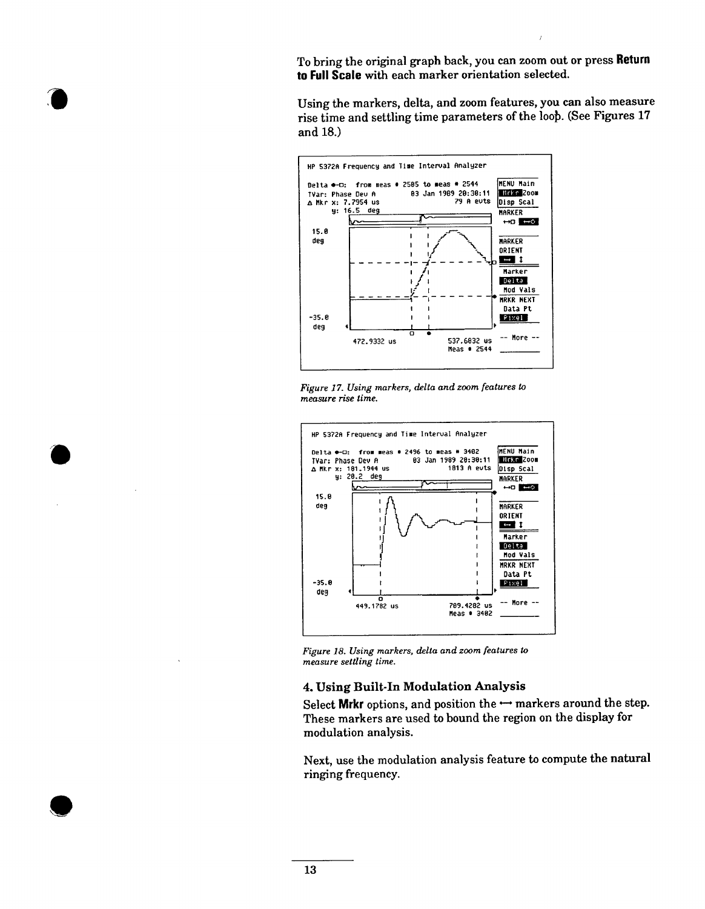To bring the original graph back, you can zoom out or press Return to Full Scale with each marker orientation selected.

 $\overline{1}$ 

Using the markers, delta, and zoom features, you can also measure rise time and settling time parameters of the loop. (See Figures 17 and 18.)



Figure 17. Using markers, delta and zoom features to measure rise time.



Figure 18. Using markers, delta and zoom features to measure settling time.

#### 4. Using Built-In Modulation Analysis

Select Mrkr options, and position the  $\rightarrow$  markers around the step. These markers are used to bound the region on the display for modulation analysis.

Next, use the modulation analysis feature to compute the natural ringing frequency.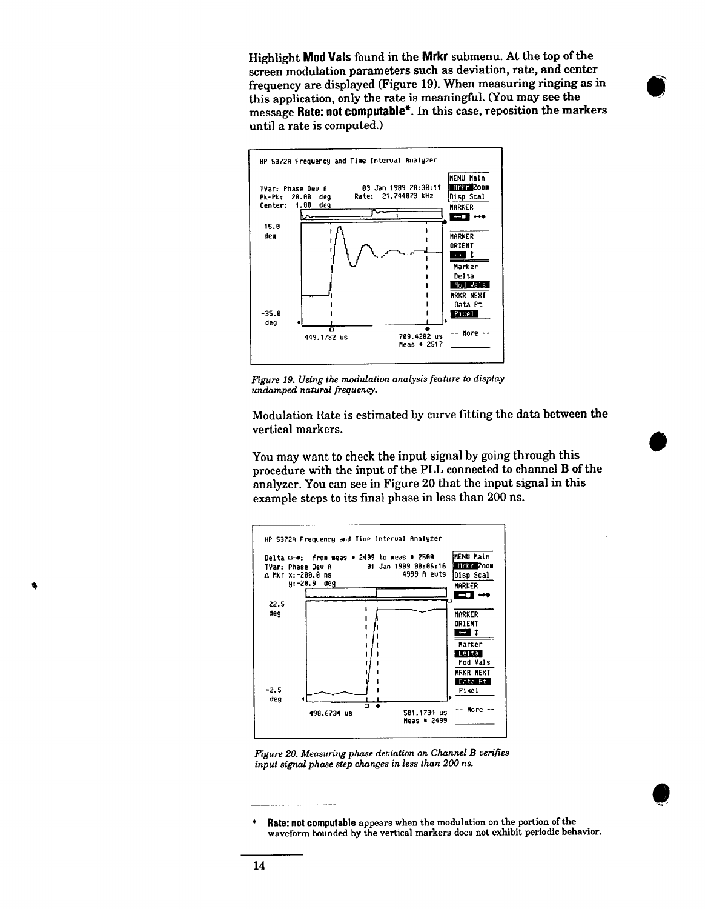Highlight Mod Vals found in the Mrkr submenu. At the top of the screen modulation parameters such as deviation, rate, and center frequency are displayed (Figure 19). When measuring ringing as in this application, only the rate is meaningful. (You may see the message Rate: not computable\*. In this case, reposition the markers until a rate is computed.)



Figure 19. Using the modulation analysis feature to display undamped natural frequency.

Modulation Rate is estimated by curve fitting the data between the vertical markers.

You may want to check the input signal by going through this procedure with the input of the PLL connected to channel B of the analyzer. You can see in Figure 20 that the input signal in this example steps to its final phase in less than 200 ns.



Figure 20. Measuring phase deviation on Channel B verifies input signal phase step changes in less than 200 ns.

Rate: not computable appears when the modulation on the portion of the waveform bounded by the vertical markers does not exhibit periodic behavior.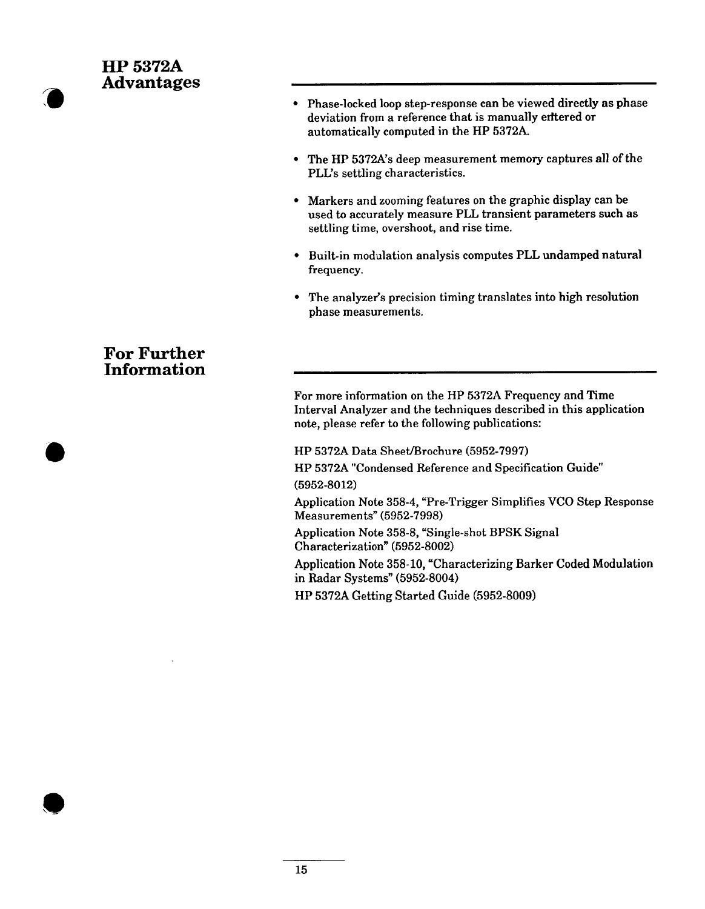# **HP 5372A Advantages**

- Phase-locked loop step-response can be viewed directly as phase deviation from a reference that is manually entered or automatically computed in the HP 5372A.
- The HP 5372A's deep measurement memory captures all of the PLL's settling characteristics.
- Markers and zooming features on the graphic display can be used to accurately measure PLL transient parameters such as settling time, overshoot, and rise time.
- Built-in modulation analysis computes PLL undamped natural frequency.
- The analyzer's precision timing translates into high resolution phase measurements.

# **For Further Information**

For more information on the HP 5372A Frequency and Time Interval Analyzer and the techniques described in this application note, please refer to the following publications:

HP 5372A Data Sheet/Brochure (5952-7997)

HP 5372A "Condensed Reference and Specification Guide"  $(5952 - 8012)$ 

Application Note 358-4, "Pre-Trigger Simplifies VCO Step Response Measurements" (5952-7998)

Application Note 358-8, "Single-shot BPSK Signal Characterization" (5952-8002)

Application Note 358-10, "Characterizing Barker Coded Modulation in Radar Systems" (5952-8004)

HP 5372A Getting Started Guide (5952-8009)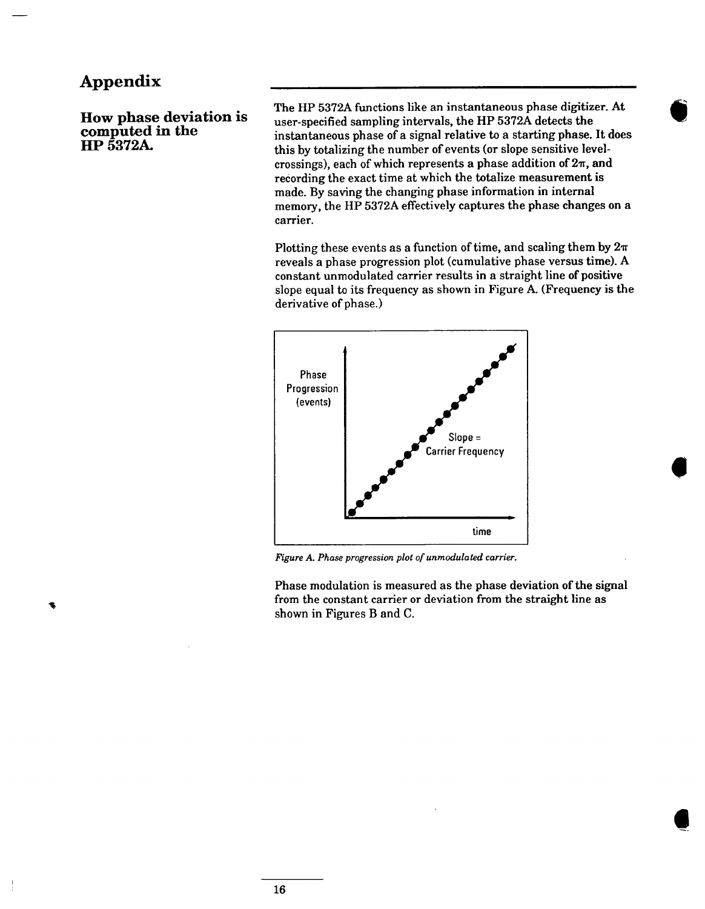# Appendix

How phase deviation is computed in the HP 5372A.

The HP 5372A functions like an instantaneous phase digitizer. At user-specified sampling intervals, the HP 5372A detects the instantaneous phase of a signal relative to a starting phase. It does this by totalizing the number of events (or slope sensitive levelcrossings), each of which represents a phase addition of  $2\pi$ , and recording the exact time at which the totalize measurement is made. By saving the changing phase information in internal memory, the HP 5372A effectively captures the phase changes on a carrier.

Plotting these events as a function of time, and scaling them by  $2\pi$ reveals a phase progression plot (cumulative phase versus time). A constant unmodulated carrier results in a straight line of positive slope equal to its frequency as shown in Figure A. (Frequency is the derivative of phase.)



Figure A. Phase progression plot of unmodulated carrier.

Phase modulation is measured as the phase deviation of the signal from the constant carrier or deviation from the straight line as shown in Figures B and C.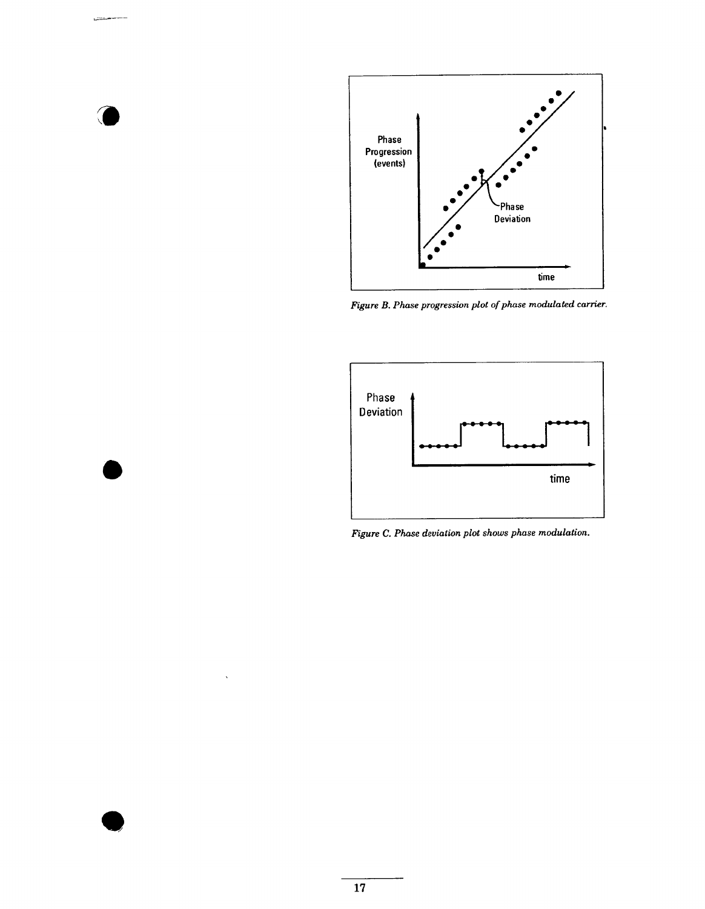

Figure B. Phase progression plot of phase modulated carrier.



Figure C. Phase deviation plot shows phase modulation.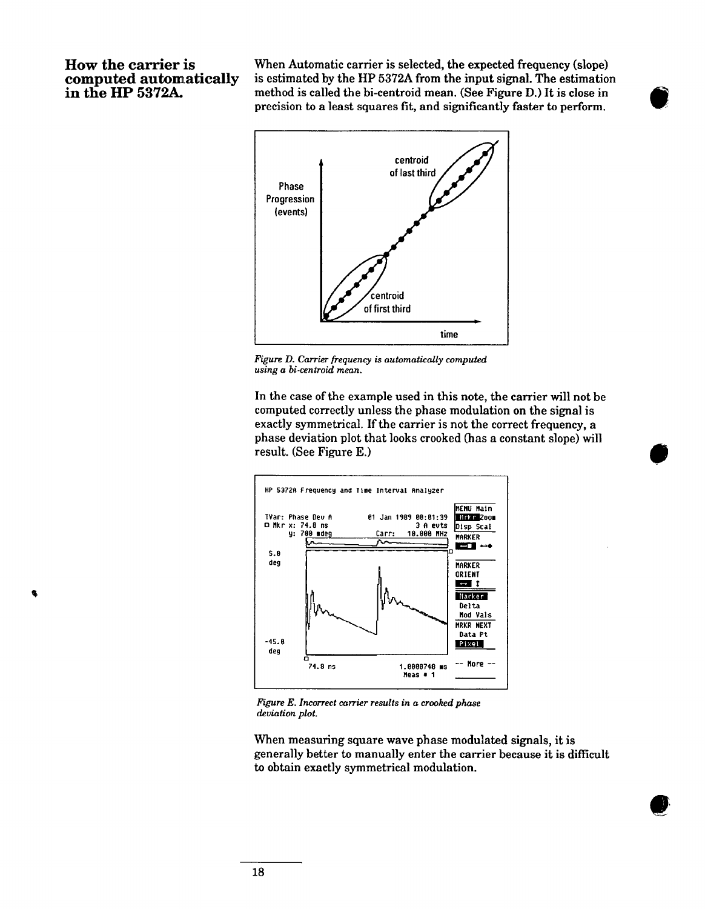#### How the carrier is computed automatically in the HP 5372A.

 $\bullet$ 

When Automatic carrier is selected, the expected frequency (slope) is estimated by the HP 5372A from the input signal. The estimation method is called the bi-centroid mean. (See Figure D.) It is close in precision to a least squares fit, and significantly faster to perform.



Figure D. Carrier frequency is automatically computed using a bi-centroid mean.

In the case of the example used in this note, the carrier will not be computed correctly unless the phase modulation on the signal is exactly symmetrical. If the carrier is not the correct frequency, a phase deviation plot that looks crooked (has a constant slope) will result. (See Figure E.)



Figure E. Incorrect carrier results in a crooked phase deviation plot.

When measuring square wave phase modulated signals, it is generally better to manually enter the carrier because it is difficult to obtain exactly symmetrical modulation.